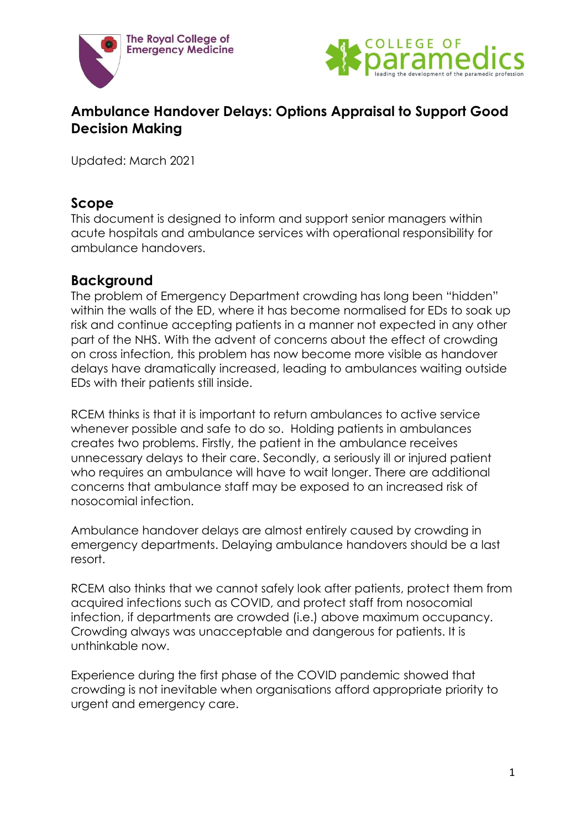



# **Ambulance Handover Delays: Options Appraisal to Support Good Decision Making**

Updated: March 2021

## **Scope**

This document is designed to inform and support senior managers within acute hospitals and ambulance services with operational responsibility for ambulance handovers.

#### **Background**

The problem of Emergency Department crowding has long been "hidden" within the walls of the ED, where it has become normalised for EDs to soak up risk and continue accepting patients in a manner not expected in any other part of the NHS. With the advent of concerns about the effect of crowding on cross infection, this problem has now become more visible as handover delays have dramatically increased, leading to ambulances waiting outside EDs with their patients still inside.

RCEM thinks is that it is important to return ambulances to active service whenever possible and safe to do so. Holding patients in ambulances creates two problems. Firstly, the patient in the ambulance receives unnecessary delays to their care. Secondly, a seriously ill or injured patient who requires an ambulance will have to wait longer. There are additional concerns that ambulance staff may be exposed to an increased risk of nosocomial infection.

Ambulance handover delays are almost entirely caused by crowding in emergency departments. Delaying ambulance handovers should be a last resort.

RCEM also thinks that we cannot safely look after patients, protect them from acquired infections such as COVID, and protect staff from nosocomial infection, if departments are crowded (i.e.) above maximum occupancy. Crowding always was unacceptable and dangerous for patients. It is unthinkable now.

Experience during the first phase of the COVID pandemic showed that crowding is not inevitable when organisations afford appropriate priority to urgent and emergency care.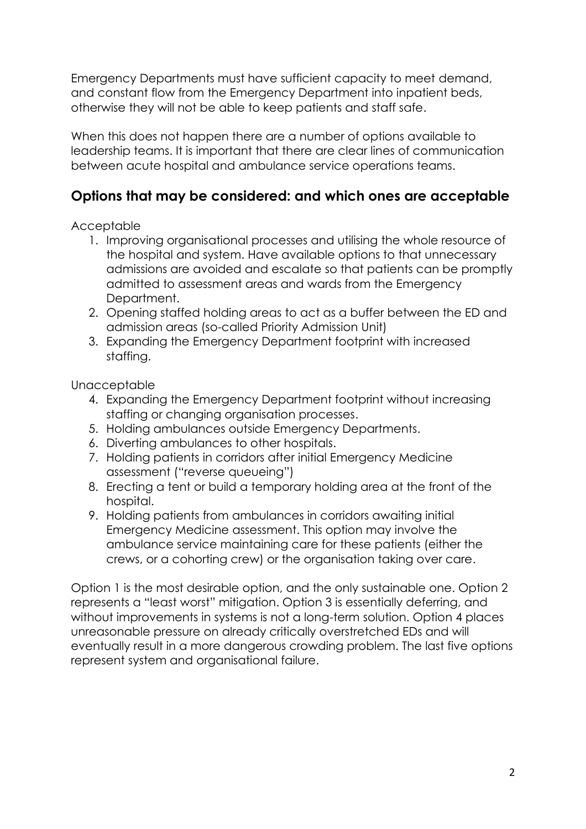Emergency Departments must have sufficient capacity to meet demand, and constant flow from the Emergency Department into inpatient beds, otherwise they will not be able to keep patients and staff safe.

When this does not happen there are a number of options available to leadership teams. It is important that there are clear lines of communication between acute hospital and ambulance service operations teams.

# **Options that may be considered: and which ones are acceptable**

Acceptable

- 1. Improving organisational processes and utilising the whole resource of the hospital and system. Have available options to that unnecessary admissions are avoided and escalate so that patients can be promptly admitted to assessment areas and wards from the Emergency Department.
- 2. Opening staffed holding areas to act as a buffer between the ED and admission areas (so-called Priority Admission Unit)
- 3. Expanding the Emergency Department footprint with increased staffing.

Unacceptable

- 4. Expanding the Emergency Department footprint without increasing staffing or changing organisation processes.
- 5. Holding ambulances outside Emergency Departments.
- 6. Diverting ambulances to other hospitals.
- 7. Holding patients in corridors after initial Emergency Medicine assessment ("reverse queueing")
- 8. Erecting a tent or build a temporary holding area at the front of the hospital.
- 9. Holding patients from ambulances in corridors awaiting initial Emergency Medicine assessment. This option may involve the ambulance service maintaining care for these patients (either the crews, or a cohorting crew) or the organisation taking over care.

Option 1 is the most desirable option, and the only sustainable one. Option 2 represents a "least worst" mitigation. Option 3 is essentially deferring, and without improvements in systems is not a long-term solution. Option 4 places unreasonable pressure on already critically overstretched EDs and will eventually result in a more dangerous crowding problem. The last five options represent system and organisational failure.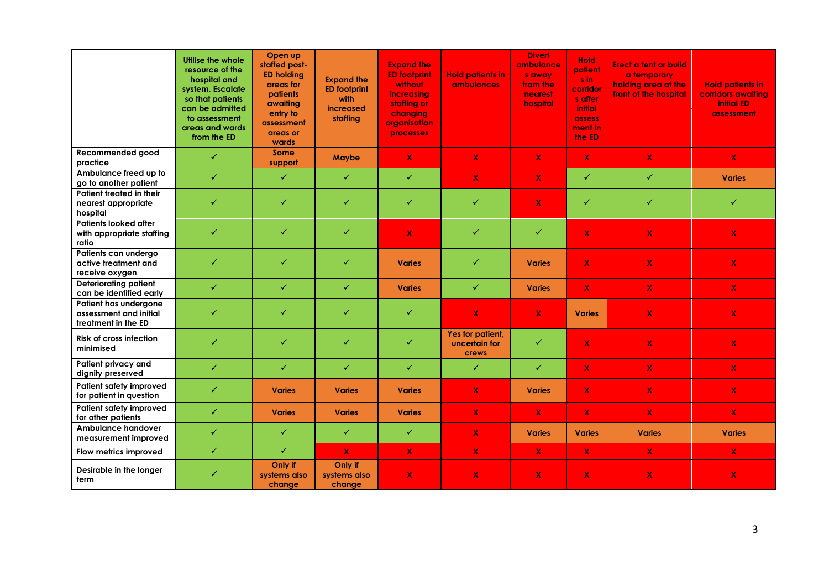|                                                                        | Utilise the whole<br>resource of the<br>hospital and<br>system. Escalate<br>so that patients<br>can be admitted<br>to assessment<br>areas and wards<br>from the ED | Open up<br>staffed post-<br><b>ED holding</b><br>areas for<br>patients<br>awaiting<br>entry to<br>assessment<br>areas or<br>wards | <b>Expand the</b><br><b>ED footprint</b><br>with<br>increased<br>staffing | <b>Expand the</b><br><b>ED footprint</b><br><b>without</b><br>increasing<br>staffing or<br>changing<br>organisation<br>processes | <b>Hold patients in</b><br><b>ambulances</b> | <b>Divert</b><br>ambulance<br>s away<br>from the<br>nearest<br>hospital | <b>Hold</b><br>patient<br>s in<br>corridor<br>s after<br><b>initial</b><br>assess<br>ment in<br>the ED | <b>Erect a tent or build</b><br>a temporary<br>holding area at the<br>front of the hospital | <b>Hold patients in</b><br>corridors awaiting<br><b>initial ED</b><br>assessment |
|------------------------------------------------------------------------|--------------------------------------------------------------------------------------------------------------------------------------------------------------------|-----------------------------------------------------------------------------------------------------------------------------------|---------------------------------------------------------------------------|----------------------------------------------------------------------------------------------------------------------------------|----------------------------------------------|-------------------------------------------------------------------------|--------------------------------------------------------------------------------------------------------|---------------------------------------------------------------------------------------------|----------------------------------------------------------------------------------|
| Recommended good<br>practice                                           | $\checkmark$                                                                                                                                                       | Some<br>support                                                                                                                   | Maybe                                                                     | $\mathbf x$                                                                                                                      | $\mathbf x$                                  | $\mathbf x$                                                             | $\mathbf{X}$                                                                                           | $\mathbf x$                                                                                 | $\mathbf{X}$                                                                     |
| Ambulance freed up to<br>go to another patient                         | ✓                                                                                                                                                                  | $\checkmark$                                                                                                                      | $\checkmark$                                                              | ✓                                                                                                                                | X                                            | $\mathbf x$                                                             | ✓                                                                                                      | $\checkmark$                                                                                | <b>Varies</b>                                                                    |
| Patient treated in their<br>nearest appropriate<br>hospital            | $\checkmark$                                                                                                                                                       | $\checkmark$                                                                                                                      | $\checkmark$                                                              | ✓                                                                                                                                | ✓                                            | $\mathbf x$                                                             | ✓                                                                                                      | ✓                                                                                           | $\checkmark$                                                                     |
| <b>Patients looked after</b><br>with appropriate staffing<br>ratio     | ✓                                                                                                                                                                  | ✓                                                                                                                                 | ✓                                                                         | $\mathbf x$                                                                                                                      | ✓                                            | ✓                                                                       | $\overline{\mathbf{X}}$                                                                                | $\bar{\mathbf{X}}$                                                                          | $\mathbf x$                                                                      |
| Patients can undergo<br>active treatment and<br>receive oxygen         | $\checkmark$                                                                                                                                                       | ✓                                                                                                                                 | $\checkmark$                                                              | <b>Varies</b>                                                                                                                    | ✓                                            | <b>Varies</b>                                                           | $\mathbf{x}$                                                                                           | $\overline{\mathbf{X}}$                                                                     | $\pmb{\chi}$                                                                     |
| <b>Deteriorating patient</b><br>can be identified early                | ✓                                                                                                                                                                  | ✓                                                                                                                                 | ✓                                                                         | <b>Varies</b>                                                                                                                    | ✓                                            | <b>Varies</b>                                                           | $\mathbf{X}$                                                                                           | $\mathbf{x}$                                                                                | $\mathbf x$                                                                      |
| Patient has undergone<br>assessment and initial<br>treatment in the ED | $\checkmark$                                                                                                                                                       | ✓                                                                                                                                 | ✓                                                                         | ✓                                                                                                                                | $\mathsf{X}$                                 | $\mathbf x$                                                             | <b>Varies</b>                                                                                          | $\boldsymbol{\mathsf{x}}$                                                                   | $\mathbf x$                                                                      |
| <b>Risk of cross infection</b><br>minimised                            | $\checkmark$                                                                                                                                                       | ✓                                                                                                                                 | $\checkmark$                                                              | ✓                                                                                                                                | Yes for patient,<br>uncertain for<br>crews   | ✓                                                                       | $\mathbf{X}$                                                                                           | $\mathbf X$                                                                                 | $\mathbf{X}$                                                                     |
| Patient privacy and<br>dignity preserved                               | ✓                                                                                                                                                                  | $\checkmark$                                                                                                                      | $\checkmark$                                                              | ✓                                                                                                                                | $\checkmark$                                 | $\checkmark$                                                            | $\mathbf{X}$                                                                                           | $\mathbf x$                                                                                 | $\mathbf x$                                                                      |
| Patient safety improved<br>for patient in question                     | ✓                                                                                                                                                                  | <b>Varies</b>                                                                                                                     | <b>Varies</b>                                                             | <b>Varies</b>                                                                                                                    | $\mathbf{x}$                                 | <b>Varies</b>                                                           | $\mathbf{x}$                                                                                           | $\mathbf X$                                                                                 | $\mathbf{X}$                                                                     |
| Patient safety improved<br>for other patients                          | ✓                                                                                                                                                                  | <b>Varies</b>                                                                                                                     | <b>Varies</b>                                                             | <b>Varies</b>                                                                                                                    | $\mathbf{X}$                                 | $\mathbf X$                                                             | $\mathbf{X}$                                                                                           | $\pmb{\chi}$                                                                                | $\pmb{\chi}$                                                                     |
| <b>Ambulance handover</b><br>measurement improved                      | ✓                                                                                                                                                                  | ✓                                                                                                                                 | $\checkmark$                                                              | ✓                                                                                                                                | $\mathbf{x}$                                 | <b>Varies</b>                                                           | <b>Varies</b>                                                                                          | <b>Varies</b>                                                                               | <b>Varies</b>                                                                    |
| Flow metrics improved                                                  | $\checkmark$                                                                                                                                                       | ✓                                                                                                                                 | $\mathbf{X}$                                                              | $\mathbf{x}$                                                                                                                     | $\mathsf{X}$                                 | $\boldsymbol{\mathsf{X}}$                                               | $\mathbf{X}$                                                                                           | $\mathbf x$                                                                                 | X.                                                                               |
| Desirable in the longer<br>term                                        | ✓                                                                                                                                                                  | Only if<br>systems also<br>change                                                                                                 | Only if<br>systems also<br>change                                         | X                                                                                                                                | X                                            | $\mathbf x$                                                             | X                                                                                                      | $\boldsymbol{\mathsf{x}}$                                                                   | $\mathbf x$                                                                      |